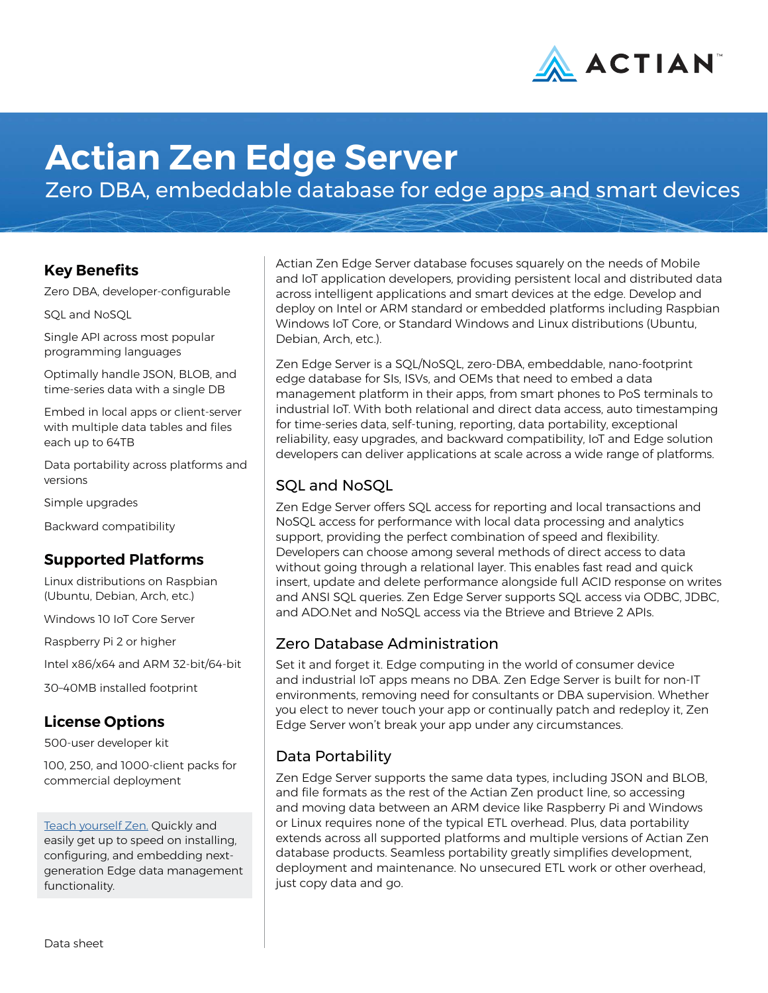

# **Actian Zen Edge Server**

Zero DBA, embeddable database for edge apps and smart devices

## **Key Benefits**

Zero DBA, developer-configurable

SQL and NoSQL

Single API across most popular programming languages

Optimally handle JSON, BLOB, and time-series data with a single DB

Embed in local apps or client-server with multiple data tables and files each up to 64TB

Data portability across platforms and versions

Simple upgrades

Backward compatibility

## **Supported Platforms**

Linux distributions on Raspbian (Ubuntu, Debian, Arch, etc.)

Windows 10 IoT Core Server

Raspberry Pi 2 or higher

Intel x86/x64 and ARM 32-bit/64-bit

30–40MB installed footprint

## **License Options**

500-user developer kit

100, 250, and 1000-client packs for commercial deployment

[Teach yourself Zen.](http://zendocs.actian.com) Quickly and easily get up to speed on installing, configuring, and embedding nextgeneration Edge data management functionality.

Actian Zen Edge Server database focuses squarely on the needs of Mobile and IoT application developers, providing persistent local and distributed data across intelligent applications and smart devices at the edge. Develop and deploy on Intel or ARM standard or embedded platforms including Raspbian Windows IoT Core, or Standard Windows and Linux distributions (Ubuntu, Debian, Arch, etc.).

Zen Edge Server is a SQL/NoSQL, zero-DBA, embeddable, nano-footprint edge database for SIs, ISVs, and OEMs that need to embed a data management platform in their apps, from smart phones to PoS terminals to industrial IoT. With both relational and direct data access, auto timestamping for time-series data, self-tuning, reporting, data portability, exceptional reliability, easy upgrades, and backward compatibility, IoT and Edge solution developers can deliver applications at scale across a wide range of platforms.

## SQL and NoSQL

Zen Edge Server offers SQL access for reporting and local transactions and NoSQL access for performance with local data processing and analytics support, providing the perfect combination of speed and flexibility. Developers can choose among several methods of direct access to data without going through a relational layer. This enables fast read and quick insert, update and delete performance alongside full ACID response on writes and ANSI SQL queries. Zen Edge Server supports SQL access via ODBC, JDBC, and ADO.Net and NoSQL access via the Btrieve and Btrieve 2 APIs.

#### Zero Database Administration

Set it and forget it. Edge computing in the world of consumer device and industrial IoT apps means no DBA. Zen Edge Server is built for non-IT environments, removing need for consultants or DBA supervision. Whether you elect to never touch your app or continually patch and redeploy it, Zen Edge Server won't break your app under any circumstances.

## Data Portability

Zen Edge Server supports the same data types, including JSON and BLOB, and file formats as the rest of the Actian Zen product line, so accessing and moving data between an ARM device like Raspberry Pi and Windows or Linux requires none of the typical ETL overhead. Plus, data portability extends across all supported platforms and multiple versions of Actian Zen database products. Seamless portability greatly simplifies development, deployment and maintenance. No unsecured ETL work or other overhead, just copy data and go.